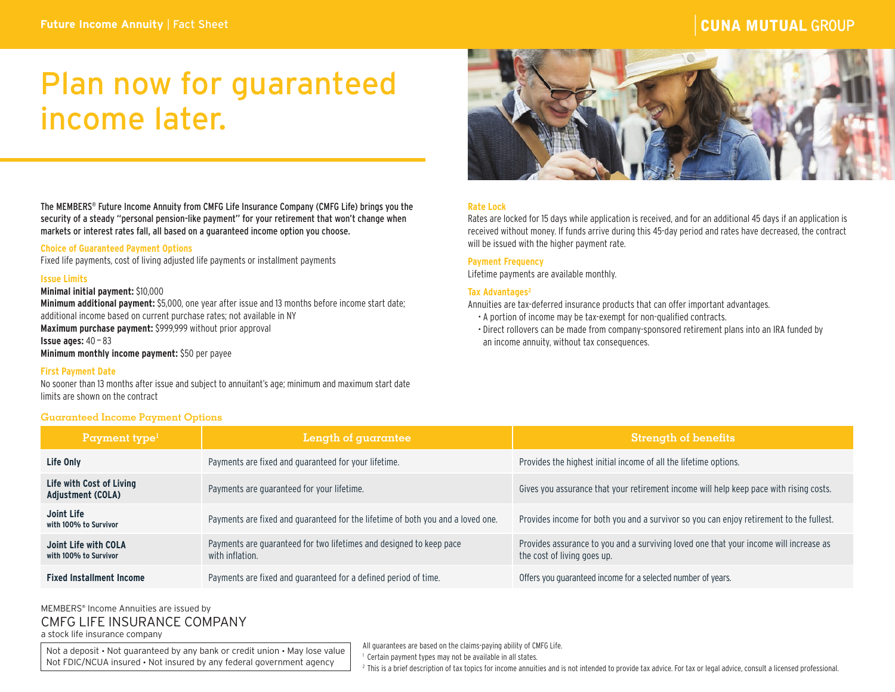# **CUNA MUTUAL GROUP**

# Plan now for guaranteed income later.



# **Rate Lock**

Rates are locked for 15 days while application is received, and for an additional 45 days if an application is received without money. If funds arrive during this 45-day period and rates have decreased, the contract will be issued with the higher payment rate.

# **Payment Frequency**

Lifetime payments are available monthly.

#### Tax Advantages<sup>2</sup>

Annuities are tax-deferred insurance products that can offer important advantages.

- A portion of income may be tax-exempt for non-qualified contracts.
- Direct rollovers can be made from company-sponsored retirement plans into an IRA funded by an income annuity, without tax consequences.

The MEMBERS® Future Income Annuity from CMFG Life Insurance Company (CMFG Life) brings you the security of a steady "personal pension-like payment" for your retirement that won't change when markets or interest rates fall, all based on a guaranteed income option you choose.

# **Choice of Guaranteed Payment Options**

Fixed life payments, cost of living adjusted life payments or installment payments

#### **Issue Limits**

# **Minimal initial payment:** \$10,000

**Minimum additional payment:** \$5,000, one year after issue and 13 months before income start date; additional income based on current purchase rates; not available in NY **Maximum purchase payment:** \$999,999 without prior approval **Issue ages:**  $40 - 83$ 

**Minimum monthly income payment:** \$50 per payee

# **First Payment Date**

No sooner than 13 months after issue and subject to annuitant's age; minimum and maximum start date limits are shown on the contract

# **Guaranteed Income Payment Options**

| Payment type $1$                              | Length of guarantee                                                                    | <b>Strength of benefits</b>                                                                                          |
|-----------------------------------------------|----------------------------------------------------------------------------------------|----------------------------------------------------------------------------------------------------------------------|
| Life Only                                     | Payments are fixed and guaranteed for your lifetime.                                   | Provides the highest initial income of all the lifetime options.                                                     |
| Life with Cost of Living<br>Adjustment (COLA) | Payments are guaranteed for your lifetime.                                             | Gives you assurance that your retirement income will help keep pace with rising costs.                               |
| Joint Life<br>with 100% to Survivor           | Payments are fixed and guaranteed for the lifetime of both you and a loved one.        | Provides income for both you and a survivor so you can enjoy retirement to the fullest.                              |
| Joint Life with COLA<br>with 100% to Survivor | Payments are guaranteed for two lifetimes and designed to keep pace<br>with inflation. | Provides assurance to you and a surviving loved one that your income will increase as<br>the cost of living goes up. |
| <b>Fixed Installment Income</b>               | Payments are fixed and guaranteed for a defined period of time.                        | Offers you quaranteed income for a selected number of years.                                                         |

# MEMBERS® Income Annuities are issued by CMFG LIFE INSURANCE COMPANY a stock life insurance company

Not a deposit • Not guaranteed by any bank or credit union • May lose value Not FDIC/NCUA insured • Not insured by any federal government agency

All guarantees are based on the claims-paying ability of CMFG Life.

<sup>1</sup> Certain payment types may not be available in all states.

<sup>2</sup> This is a brief description of tax topics for income annuities and is not intended to provide tax advice. For tax or legal advice, consult a licensed professional.